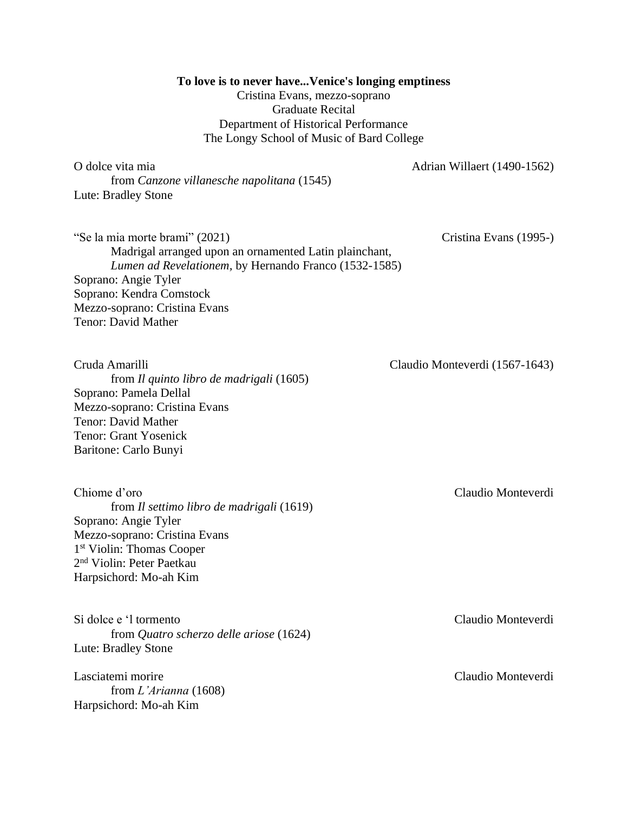**To love is to never have...Venice's longing emptiness** 

Cristina Evans, mezzo-soprano Graduate Recital Department of Historical Performance The Longy School of Music of Bard College

O dolce vita mia  $\alpha$  Adrian Willaert (1490-1562)

"Se la mia morte brami" (2021) Cristina Evans (1995-)

Madrigal arranged upon an ornamented Latin plainchant, *Lumen ad Revelationem,* by Hernando Franco (1532-1585) Soprano: Angie Tyler Soprano: Kendra Comstock Mezzo-soprano: Cristina Evans Tenor: David Mather

from *Il quinto libro de madrigali* (1605) Soprano: Pamela Dellal Mezzo-soprano: Cristina Evans Tenor: David Mather Tenor: Grant Yosenick Baritone: Carlo Bunyi

Chiome d'oro Claudio Monteverdi from *Il settimo libro de madrigali* (1619) Soprano: Angie Tyler Mezzo-soprano: Cristina Evans 1 st Violin: Thomas Cooper 2 nd Violin: Peter Paetkau Harpsichord: Mo-ah Kim

Si dolce e 'l tormento Claudio Monteverdi from *Quatro scherzo delle ariose* (1624) Lute: Bradley Stone

Lasciatemi morire Claudio Monteverdi from *L'Arianna* (1608) Harpsichord: Mo-ah Kim

Cruda Amarilli Claudio Monteverdi (1567-1643)

from *Canzone villanesche napolitana* (1545) Lute: Bradley Stone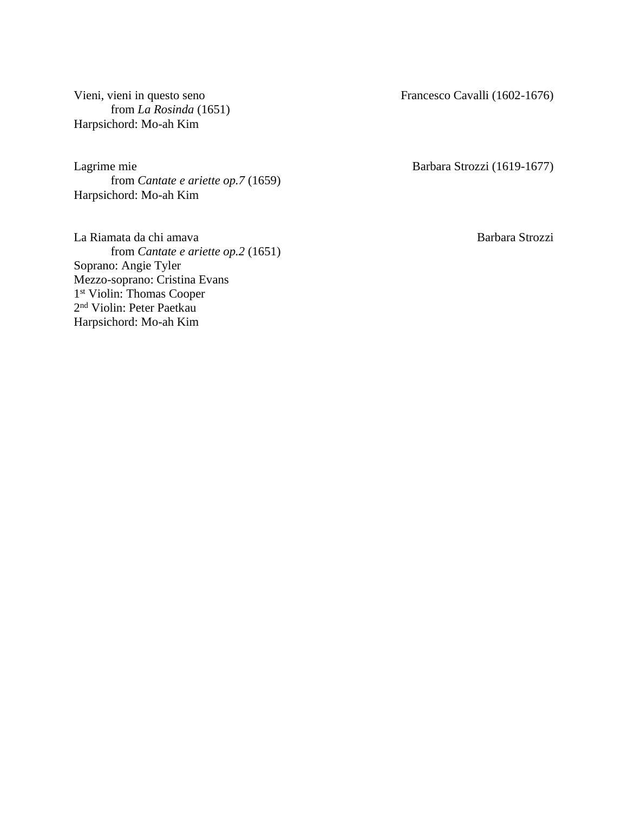Vieni, vieni in questo seno Francesco Cavalli (1602-1676) from *La Rosinda* (1651) Harpsichord: Mo-ah Kim

Lagrime mie Barbara Strozzi (1619-1677) from *Cantate e ariette op.7* (1659) Harpsichord: Mo-ah Kim

La Riamata da chi amava barbara Strozzi from *Cantate e ariette op.2* (1651) Soprano: Angie Tyler Mezzo-soprano: Cristina Evans 1 st Violin: Thomas Cooper 2 nd Violin: Peter Paetkau Harpsichord: Mo-ah Kim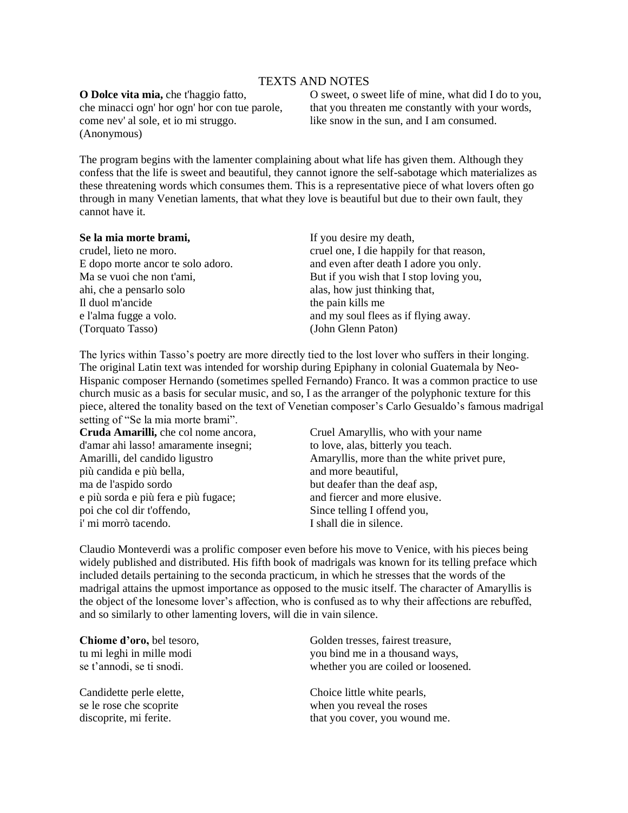# TEXTS AND NOTES

**O Dolce vita mia,** che t'haggio fatto, che minacci ogn' hor ogn' hor con tue parole, come nev' al sole, et io mi struggo. (Anonymous)

O sweet, o sweet life of mine, what did I do to you, that you threaten me constantly with your words, like snow in the sun, and I am consumed.

The program begins with the lamenter complaining about what life has given them. Although they confess that the life is sweet and beautiful, they cannot ignore the self-sabotage which materializes as these threatening words which consumes them. This is a representative piece of what lovers often go through in many Venetian laments, that what they love is beautiful but due to their own fault, they cannot have it.

### **Se la mia morte brami,**

crudel, lieto ne moro. E dopo morte ancor te solo adoro. Ma se vuoi che non t'ami, ahi, che a pensarlo solo Il duol m'ancide e l'alma fugge a volo. (Torquato Tasso)

If you desire my death, cruel one, I die happily for that reason, and even after death I adore you only. But if you wish that I stop loving you, alas, how just thinking that, the pain kills me and my soul flees as if flying away. (John Glenn Paton)

The lyrics within Tasso's poetry are more directly tied to the lost lover who suffers in their longing. The original Latin text was intended for worship during Epiphany in colonial Guatemala by Neo-Hispanic composer Hernando (sometimes spelled Fernando) Franco. It was a common practice to use church music as a basis for secular music, and so, I as the arranger of the polyphonic texture for this piece, altered the tonality based on the text of Venetian composer's Carlo Gesualdo's famous madrigal setting of "Se la mia morte brami".

**Cruda Amarilli,** che col nome ancora, d'amar ahi lasso! amaramente insegni; Amarilli, del candido ligustro più candida e più bella, ma de l'aspido sordo e più sorda e più fera e più fugace; poi che col dir t'offendo, i' mi morrò tacendo.

Cruel Amaryllis, who with your name to love, alas, bitterly you teach. Amaryllis, more than the white privet pure, and more beautiful, but deafer than the deaf asp, and fiercer and more elusive. Since telling I offend you, I shall die in silence.

Claudio Monteverdi was a prolific composer even before his move to Venice, with his pieces being widely published and distributed. His fifth book of madrigals was known for its telling preface which included details pertaining to the seconda practicum, in which he stresses that the words of the madrigal attains the upmost importance as opposed to the music itself. The character of Amaryllis is the object of the lonesome lover's affection, who is confused as to why their affections are rebuffed, and so similarly to other lamenting lovers, will die in vain silence.

**Chiome d'oro,** bel tesoro, tu mi leghi in mille modi se t'annodi, se ti snodi.

Candidette perle elette, se le rose che scoprite discoprite, mi ferite.

Golden tresses, fairest treasure, you bind me in a thousand ways, whether you are coiled or loosened.

Choice little white pearls, when you reveal the roses that you cover, you wound me.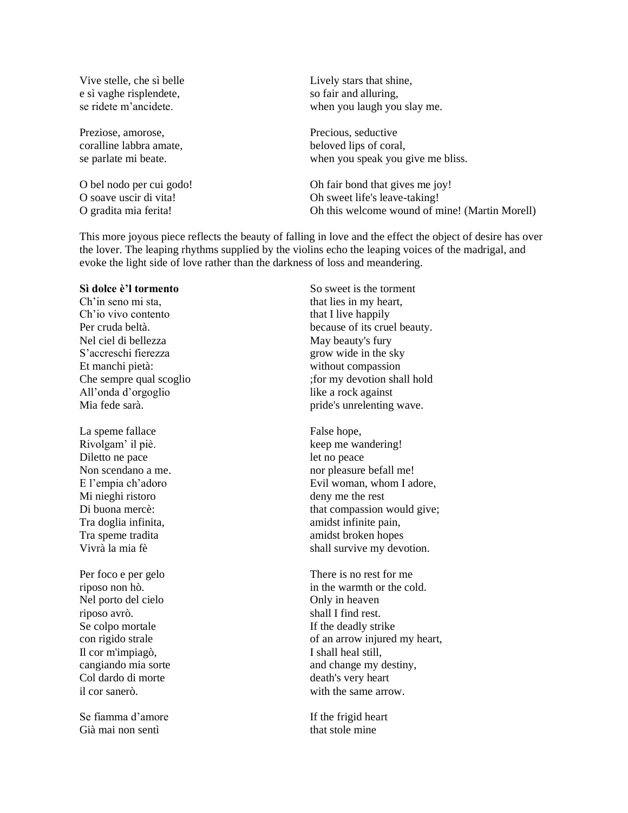Vive stelle, che sì belle e sì vaghe risplendete, se ridete m'ancidete.

Preziose, amorose, coralline labbra amate, se parlate mi beate.

O bel nodo per cui godo! O soave uscir di vita! O gradita mia ferita!

Lively stars that shine, so fair and alluring, when you laugh you slay me.

Precious, seductive beloved lips of coral, when you speak you give me bliss.

Oh fair bond that gives me joy! Oh sweet life's leave-taking! Oh this welcome wound of mine! (Martin Morell)

This more joyous piece reflects the beauty of falling in love and the effect the object of desire has over the lover. The leaping rhythms supplied by the violins echo the leaping voices of the madrigal, and evoke the light side of love rather than the darkness of loss and meandering.

# **Sì dolce è'l tormento**

Ch'in seno mi sta, Ch'io vivo contento Per cruda beltà. Nel ciel di bellezza S'accreschi fierezza Et manchi pietà: Che sempre qual scoglio All'onda d'orgoglio Mia fede sarà.

La speme fallace Rivolgam' il piè. Diletto ne pace Non scendano a me. E l'empia ch'adoro Mi nieghi ristoro Di buona mercè: Tra doglia infinita, Tra speme tradita Vivrà la mia fè

Per foco e per gelo riposo non hò. Nel porto del cielo riposo avrò. Se colpo mortale con rigido strale Il cor m'impiagò, cangiando mia sorte Col dardo di morte il cor sanerò.

Se fiamma d'amore Già mai non sentì

So sweet is the torment that lies in my heart, that I live happily because of its cruel beauty. May beauty's fury grow wide in the sky without compassion ;for my devotion shall hold like a rock against pride's unrelenting wave.

False hope, keep me wandering! let no peace nor pleasure befall me! Evil woman, whom I adore, deny me the rest that compassion would give; amidst infinite pain, amidst broken hopes shall survive my devotion.

There is no rest for me in the warmth or the cold. Only in heaven shall I find rest. If the deadly strike of an arrow injured my heart, I shall heal still, and change my destiny, death's very heart with the same arrow.

If the frigid heart that stole mine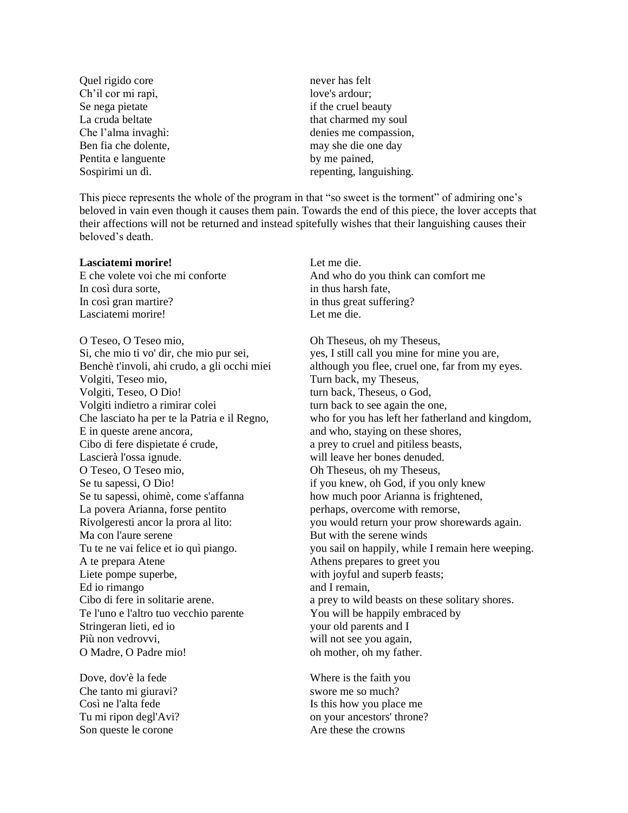Quel rigido core Ch'il cor mi rapì, Se nega pietate La cruda beltate Che l'alma invaghì: Ben fia che dolente, Pentita e languente Sospirimi un dì.

never has felt love's ardour; if the cruel beauty that charmed my soul denies me compassion, may she die one day by me pained, repenting, languishing.

This piece represents the whole of the program in that "so sweet is the torment" of admiring one's beloved in vain even though it causes them pain. Towards the end of this piece, the lover accepts that their affections will not be returned and instead spitefully wishes that their languishing causes their beloved's death.

#### **Lasciatemi morire!**

E che volete voi che mi conforte In così dura sorte, In così gran martire? Lasciatemi morire!

O Teseo, O Teseo mio, Si, che mio ti vo' dir, che mio pur sei, Benchè t'involi, ahi crudo, a gli occhi miei Volgiti, Teseo mio, Volgiti, Teseo, O Dio! Volgiti indietro a rimirar colei Che lasciato ha per te la Patria e il Regno, E in queste arene ancora, Cibo di fere dispietate é crude, Lascierà l'ossa ignude. O Teseo, O Teseo mio, Se tu sapessi, O Dio! Se tu sapessi, ohimè, come s'affanna La povera Arianna, forse pentito Rivolgeresti ancor la prora al lito: Ma con l'aure serene Tu te ne vai felice et io quì piango. A te prepara Atene Liete pompe superbe, Ed io rimango Cibo di fere in solitarie arene. Te l'uno e l'altro tuo vecchio parente Stringeran lieti, ed io Più non vedrovvi, O Madre, O Padre mio!

Dove, dov'è la fede Che tanto mi giuravi? Così ne l'alta fede Tu mi ripon degl'Avi? Son queste le corone

Let me die. And who do you think can comfort me in thus harsh fate, in thus great suffering? Let me die.

Oh Theseus, oh my Theseus, yes, I still call you mine for mine you are, although you flee, cruel one, far from my eyes. Turn back, my Theseus, turn back, Theseus, o God, turn back to see again the one, who for you has left her fatherland and kingdom, and who, staying on these shores, a prey to cruel and pitiless beasts, will leave her bones denuded. Oh Theseus, oh my Theseus, if you knew, oh God, if you only knew how much poor Arianna is frightened, perhaps, overcome with remorse, you would return your prow shorewards again. But with the serene winds you sail on happily, while I remain here weeping. Athens prepares to greet you with joyful and superb feasts; and I remain, a prey to wild beasts on these solitary shores. You will be happily embraced by your old parents and I will not see you again, oh mother, oh my father.

Where is the faith you swore me so much? Is this how you place me on your ancestors' throne? Are these the crowns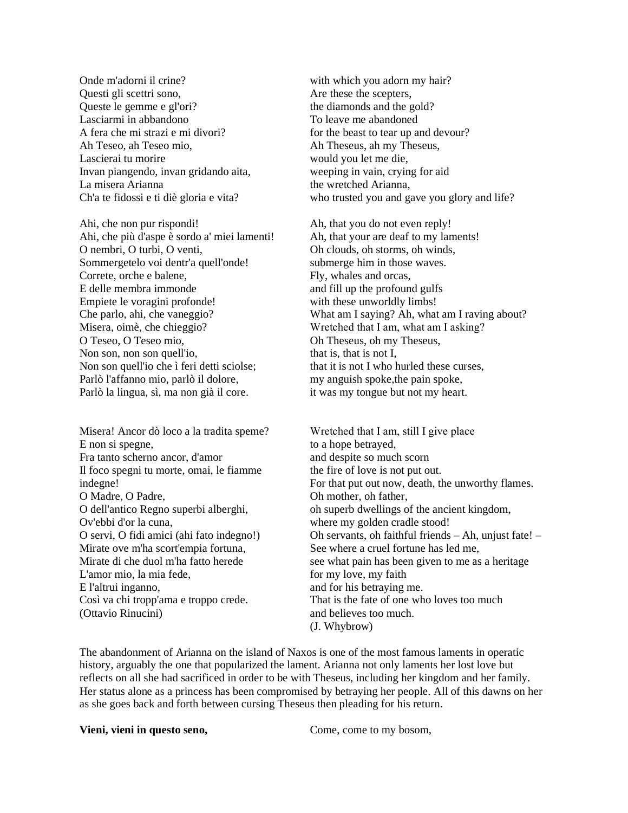Onde m'adorni il crine? Questi gli scettri sono, Queste le gemme e gl'ori? Lasciarmi in abbandono A fera che mi strazi e mi divori? Ah Teseo, ah Teseo mio, Lascierai tu morire Invan piangendo, invan gridando aita, La misera Arianna Ch'a te fidossi e ti diè gloria e vita?

Ahi, che non pur rispondi! Ahi, che più d'aspe è sordo a' miei lamenti! O nembri, O turbi, O venti, Sommergetelo voi dentr'a quell'onde! Correte, orche e balene, E delle membra immonde Empiete le voragini profonde! Che parlo, ahi, che vaneggio? Misera, oimè, che chieggio? O Teseo, O Teseo mio, Non son, non son quell'io, Non son quell'io che ì feri detti sciolse; Parlò l'affanno mio, parlò il dolore, Parlò la lingua, sì, ma non già il core.

Misera! Ancor dò loco a la tradita speme? E non si spegne, Fra tanto scherno ancor, d'amor Il foco spegni tu morte, omai, le fiamme indegne! O Madre, O Padre, O dell'antico Regno superbi alberghi, Ov'ebbi d'or la cuna, O servi, O fidi amici (ahi fato indegno!) Mirate ove m'ha scort'empia fortuna, Mirate di che duol m'ha fatto herede L'amor mio, la mia fede, E l'altrui inganno, Così va chi tropp'ama e troppo crede. (Ottavio Rinucini)

with which you adorn my hair? Are these the scepters, the diamonds and the gold? To leave me abandoned for the beast to tear up and devour? Ah Theseus, ah my Theseus, would you let me die, weeping in vain, crying for aid the wretched Arianna, who trusted you and gave you glory and life?

Ah, that you do not even reply! Ah, that your are deaf to my laments! Oh clouds, oh storms, oh winds, submerge him in those waves. Fly, whales and orcas, and fill up the profound gulfs with these unworldly limbs! What am I saying? Ah, what am I raving about? Wretched that I am, what am I asking? Oh Theseus, oh my Theseus, that is, that is not I, that it is not I who hurled these curses, my anguish spoke, the pain spoke, it was my tongue but not my heart.

Wretched that I am, still I give place to a hope betrayed, and despite so much scorn the fire of love is not put out. For that put out now, death, the unworthy flames. Oh mother, oh father, oh superb dwellings of the ancient kingdom, where my golden cradle stood! Oh servants, oh faithful friends – Ah, unjust fate! – See where a cruel fortune has led me, see what pain has been given to me as a heritage for my love, my faith and for his betraying me. That is the fate of one who loves too much and believes too much. (J. Whybrow)

The abandonment of Arianna on the island of Naxos is one of the most famous laments in operatic history, arguably the one that popularized the lament. Arianna not only laments her lost love but reflects on all she had sacrificed in order to be with Theseus, including her kingdom and her family. Her status alone as a princess has been compromised by betraying her people. All of this dawns on her as she goes back and forth between cursing Theseus then pleading for his return.

**Vieni, vieni in questo seno,** Come, come to my bosom,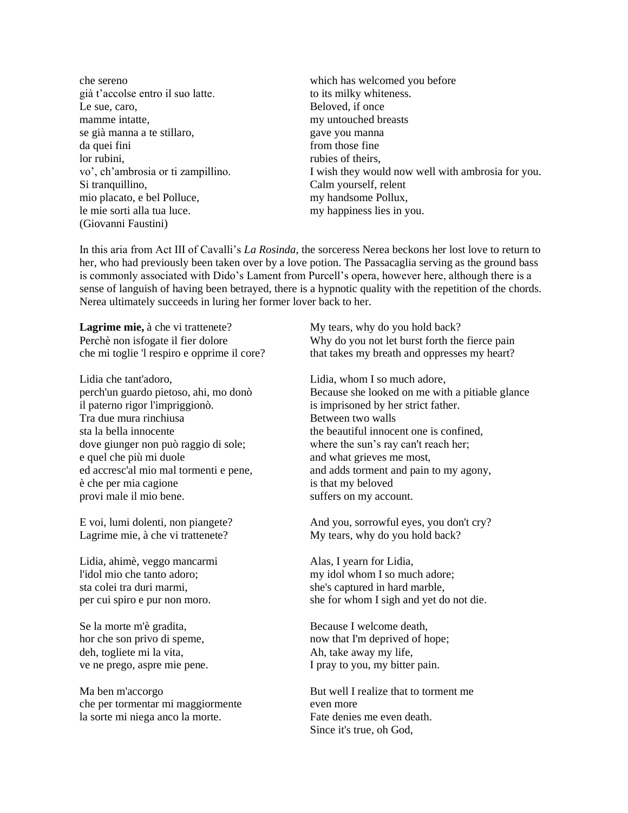che sereno già t'accolse entro il suo latte. Le sue, caro, mamme intatte, se già manna a te stillaro, da quei fini lor rubini, vo', ch'ambrosia or ti zampillino. Si tranquillino, mio placato, e bel Polluce, le mie sorti alla tua luce. (Giovanni Faustini)

which has welcomed you before to its milky whiteness. Beloved, if once my untouched breasts gave you manna from those fine rubies of theirs, I wish they would now well with ambrosia for you. Calm yourself, relent my handsome Pollux, my happiness lies in you.

In this aria from Act III of Cavalli's *La Rosinda*, the sorceress Nerea beckons her lost love to return to her, who had previously been taken over by a love potion. The Passacaglia serving as the ground bass is commonly associated with Dido's Lament from Purcell's opera, however here, although there is a sense of languish of having been betrayed, there is a hypnotic quality with the repetition of the chords. Nerea ultimately succeeds in luring her former lover back to her.

**Lagrime mie,** à che vi trattenete? Perchè non isfogate il fier dolore che mi toglie 'l respiro e opprime il core?

Lidia che tant'adoro, perch'un guardo pietoso, ahi, mo donò il paterno rigor l'impriggionò. Tra due mura rinchiusa sta la bella innocente dove giunger non può raggio di sole; e quel che più mi duole ed accresc'al mio mal tormenti e pene, è che per mia cagione provi male il mio bene.

E voi, lumi dolenti, non piangete? Lagrime mie, à che vi trattenete?

Lidia, ahimè, veggo mancarmi l'idol mio che tanto adoro; sta colei tra duri marmi, per cui spiro e pur non moro.

Se la morte m'è gradita, hor che son privo di speme, deh, togliete mi la vita, ve ne prego, aspre mie pene.

Ma ben m'accorgo che per tormentar mi maggiormente la sorte mi niega anco la morte.

My tears, why do you hold back? Why do you not let burst forth the fierce pain that takes my breath and oppresses my heart?

Lidia, whom I so much adore, Because she looked on me with a pitiable glance is imprisoned by her strict father. Between two walls the beautiful innocent one is confined, where the sun's ray can't reach her; and what grieves me most, and adds torment and pain to my agony, is that my beloved suffers on my account.

And you, sorrowful eyes, you don't cry? My tears, why do you hold back?

Alas, I yearn for Lidia, my idol whom I so much adore; she's captured in hard marble, she for whom I sigh and yet do not die.

Because I welcome death, now that I'm deprived of hope; Ah, take away my life, I pray to you, my bitter pain.

But well I realize that to torment me even more Fate denies me even death. Since it's true, oh God,